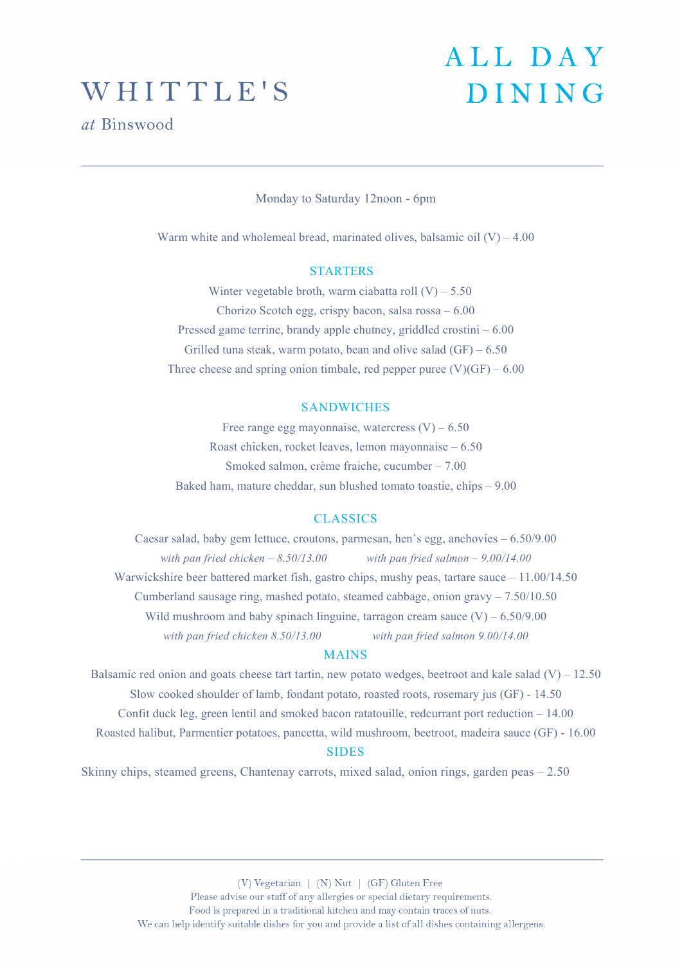### WHITTLE'S

*at* Binswood

## ALL DAY **DINING**

Monday to Saturday 12noon - 6pm

Warm white and wholemeal bread, marinated olives, balsamic oil  $(V) - 4.00$ 

#### **STARTERS**

Winter vegetable broth, warm ciabatta roll  $(V)$  – 5.50 Chorizo Scotch egg, crispy bacon, salsa rossa – 6.00 Pressed game terrine, brandy apple chutney, griddled crostini – 6.00 Grilled tuna steak, warm potato, bean and olive salad  $(GF) - 6.50$ Three cheese and spring onion timbale, red pepper puree  $(V)(GF) - 6.00$ 

#### SANDWICHES

Free range egg mayonnaise, watercress  $(V) - 6.50$ Roast chicken, rocket leaves, lemon mayonnaise – 6.50 Smoked salmon, crème fraiche, cucumber – 7.00 Baked ham, mature cheddar, sun blushed tomato toastie, chips – 9.00

#### **CLASSICS**

Caesar salad, baby gem lettuce, croutons, parmesan, hen's egg, anchovies – 6.50/9.00 *with pan fried chicken – 8.50/13.00 with pan fried salmon – 9.00/14.00* Warwickshire beer battered market fish, gastro chips, mushy peas, tartare sauce – 11.00/14.50 Cumberland sausage ring, mashed potato, steamed cabbage, onion gravy – 7.50/10.50 Wild mushroom and baby spinach linguine, tarragon cream sauce  $(V) - 6.50/9.00$ *with pan fried chicken 8.50/13.00 with pan fried salmon 9.00/14.00*

#### MAINS

Balsamic red onion and goats cheese tart tartin, new potato wedges, beetroot and kale salad  $(V) - 12.50$ Slow cooked shoulder of lamb, fondant potato, roasted roots, rosemary jus (GF) - 14.50 Confit duck leg, green lentil and smoked bacon ratatouille, redcurrant port reduction – 14.00 Roasted halibut, Parmentier potatoes, pancetta, wild mushroom, beetroot, madeira sauce (GF) - 16.00 SIDES

Skinny chips, steamed greens, Chantenay carrots, mixed salad, onion rings, garden peas – 2.50

(V) Vegetarian | (N) Nut | (GF) Gluten Free Please advise our staff of any allergies or special dietary requirements. Food is prepared in a traditional kitchen and may contain traces of nuts. We can help identify suitable dishes for you and provide a list of all dishes containing allergens.